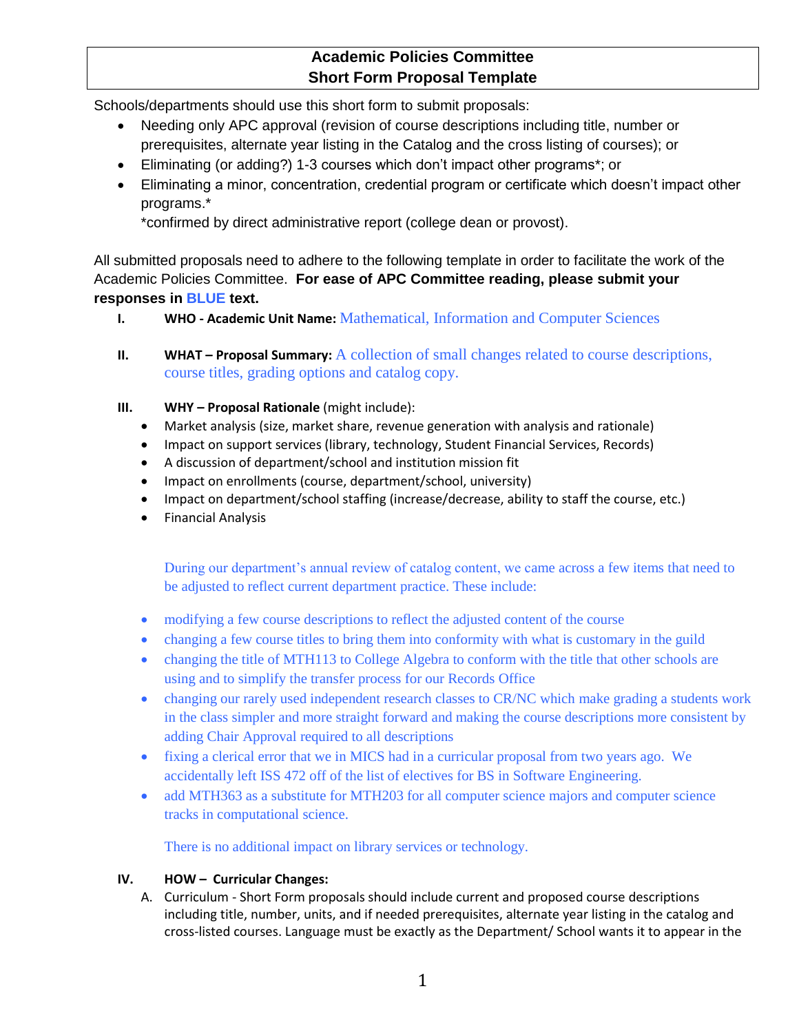## **Academic Policies Committee Short Form Proposal Template**

Schools/departments should use this short form to submit proposals:

- Needing only APC approval (revision of course descriptions including title, number or prerequisites, alternate year listing in the Catalog and the cross listing of courses); or
- Eliminating (or adding?) 1-3 courses which don't impact other programs\*; or
- Eliminating a minor, concentration, credential program or certificate which doesn't impact other programs.\*

\*confirmed by direct administrative report (college dean or provost).

All submitted proposals need to adhere to the following template in order to facilitate the work of the Academic Policies Committee. **For ease of APC Committee reading, please submit your responses in BLUE text.** 

- **I. WHO - Academic Unit Name:** Mathematical, Information and Computer Sciences
- **II. WHAT Proposal Summary:** A collection of small changes related to course descriptions, course titles, grading options and catalog copy.
- **III. WHY – Proposal Rationale** (might include):
	- Market analysis (size, market share, revenue generation with analysis and rationale)
	- Impact on support services (library, technology, Student Financial Services, Records)
	- A discussion of department/school and institution mission fit
	- Impact on enrollments (course, department/school, university)
	- Impact on department/school staffing (increase/decrease, ability to staff the course, etc.)
	- **•** Financial Analysis

During our department's annual review of catalog content, we came across a few items that need to be adjusted to reflect current department practice. These include:

- modifying a few course descriptions to reflect the adjusted content of the course
- changing a few course titles to bring them into conformity with what is customary in the guild
- changing the title of MTH113 to College Algebra to conform with the title that other schools are using and to simplify the transfer process for our Records Office
- changing our rarely used independent research classes to CR/NC which make grading a students work in the class simpler and more straight forward and making the course descriptions more consistent by adding Chair Approval required to all descriptions
- fixing a clerical error that we in MICS had in a curricular proposal from two years ago. We accidentally left ISS 472 off of the list of electives for BS in Software Engineering.
- add MTH363 as a substitute for MTH203 for all computer science majors and computer science tracks in computational science.

There is no additional impact on library services or technology.

#### **IV. HOW – Curricular Changes:**

A. Curriculum - Short Form proposals should include current and proposed course descriptions including title, number, units, and if needed prerequisites, alternate year listing in the catalog and cross-listed courses. Language must be exactly as the Department/ School wants it to appear in the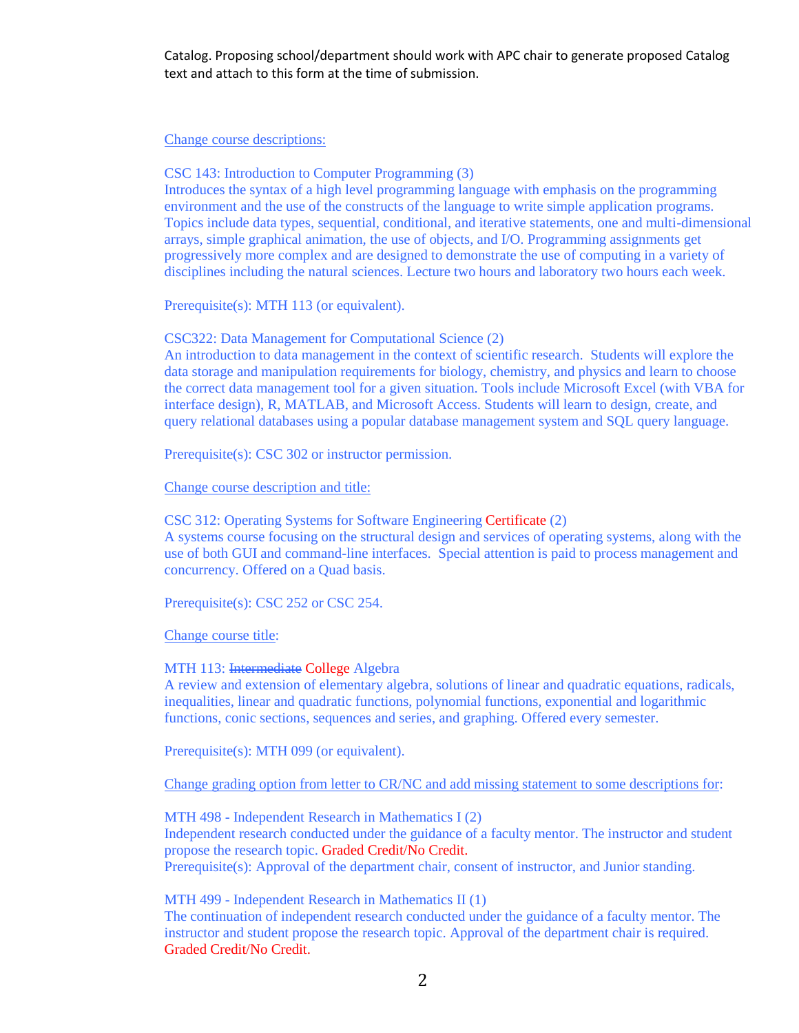Catalog. Proposing school/department should work with APC chair to generate proposed Catalog text and attach to this form at the time of submission.

#### Change course descriptions:

CSC 143: Introduction to Computer Programming (3)

Introduces the syntax of a high level programming language with emphasis on the programming environment and the use of the constructs of the language to write simple application programs. Topics include data types, sequential, conditional, and iterative statements, one and multi-dimensional arrays, simple graphical animation, the use of objects, and I/O. Programming assignments get progressively more complex and are designed to demonstrate the use of computing in a variety of disciplines including the natural sciences. Lecture two hours and laboratory two hours each week.

Prerequisite(s): MTH 113 (or equivalent).

CSC322: Data Management for Computational Science (2)

An introduction to data management in the context of scientific research. Students will explore the data storage and manipulation requirements for biology, chemistry, and physics and learn to choose the correct data management tool for a given situation. Tools include Microsoft Excel (with VBA for interface design), R, MATLAB, and Microsoft Access. Students will learn to design, create, and query relational databases using a popular database management system and SQL query language.

Prerequisite(s): CSC 302 or instructor permission.

Change course description and title:

CSC 312: Operating Systems for Software Engineering Certificate (2) A systems course focusing on the structural design and services of operating systems, along with the use of both GUI and command-line interfaces. Special attention is paid to process management and concurrency. Offered on a Quad basis.

Prerequisite(s): CSC 252 or CSC 254.

Change course title:

#### MTH 113: Intermediate College Algebra

A review and extension of elementary algebra, solutions of linear and quadratic equations, radicals, inequalities, linear and quadratic functions, polynomial functions, exponential and logarithmic functions, conic sections, sequences and series, and graphing. Offered every semester.

Prerequisite(s): MTH 099 (or equivalent).

Change grading option from letter to CR/NC and add missing statement to some descriptions for:

MTH 498 - Independent Research in Mathematics I (2) Independent research conducted under the guidance of a faculty mentor. The instructor and student propose the research topic. Graded Credit/No Credit. Prerequisite(s): Approval of the department chair, consent of instructor, and Junior standing.

MTH 499 - Independent Research in Mathematics II (1)

The continuation of independent research conducted under the guidance of a faculty mentor. The instructor and student propose the research topic. Approval of the department chair is required. Graded Credit/No Credit.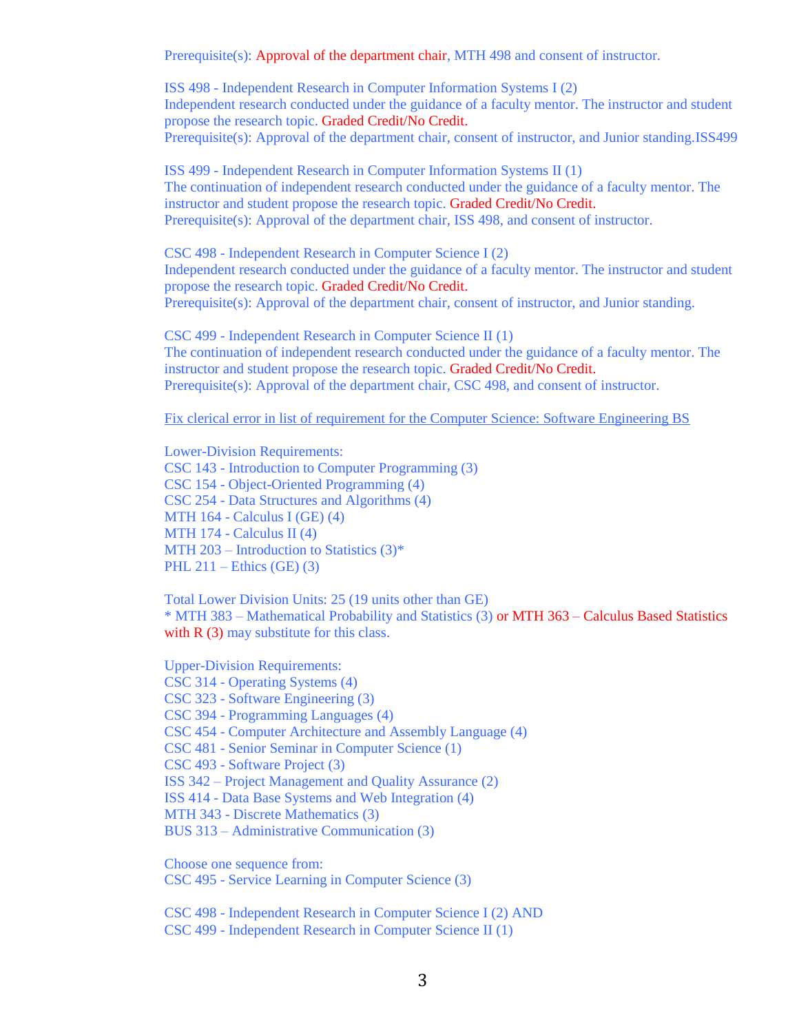Prerequisite(s): Approval of the department chair, MTH 498 and consent of instructor.

ISS 498 - Independent Research in Computer Information Systems I (2) Independent research conducted under the guidance of a faculty mentor. The instructor and student propose the research topic. Graded Credit/No Credit. Prerequisite(s): Approval of the department chair, consent of instructor, and Junior standing.ISS499

ISS 499 - Independent Research in Computer Information Systems II (1) The continuation of independent research conducted under the guidance of a faculty mentor. The instructor and student propose the research topic. Graded Credit/No Credit. Prerequisite(s): Approval of the department chair, ISS 498, and consent of instructor.

CSC 498 - Independent Research in Computer Science I (2) Independent research conducted under the guidance of a faculty mentor. The instructor and student propose the research topic. Graded Credit/No Credit. Prerequisite(s): Approval of the department chair, consent of instructor, and Junior standing.

CSC 499 - Independent Research in Computer Science II (1) The continuation of independent research conducted under the guidance of a faculty mentor. The instructor and student propose the research topic. Graded Credit/No Credit. Prerequisite(s): Approval of the department chair, CSC 498, and consent of instructor.

Fix clerical error in list of requirement for the Computer Science: Software Engineering BS

Lower-Division Requirements: CSC 143 - Introduction to Computer Programming (3) CSC 154 - Object-Oriented Programming (4) CSC 254 - Data Structures and Algorithms (4) MTH 164 - Calculus I (GE) (4) MTH 174 - Calculus II (4) MTH 203 – Introduction to Statistics  $(3)^*$ PHL  $211$  – Ethics (GE) (3)

Total Lower Division Units: 25 (19 units other than GE) \* MTH 383 – Mathematical Probability and Statistics (3) or MTH 363 – Calculus Based Statistics with  $R(3)$  may substitute for this class.

Upper-Division Requirements: CSC 314 - Operating Systems (4) CSC 323 - Software Engineering (3) CSC 394 - Programming Languages (4) CSC 454 - Computer Architecture and Assembly Language (4) CSC 481 - Senior Seminar in Computer Science (1) CSC 493 - Software Project (3) ISS 342 – Project Management and Quality Assurance (2) ISS 414 - Data Base Systems and Web Integration (4) MTH 343 - Discrete Mathematics (3) BUS 313 – Administrative Communication (3)

Choose one sequence from: CSC 495 - Service Learning in Computer Science (3)

CSC 498 - Independent Research in Computer Science I (2) AND CSC 499 - Independent Research in Computer Science II (1)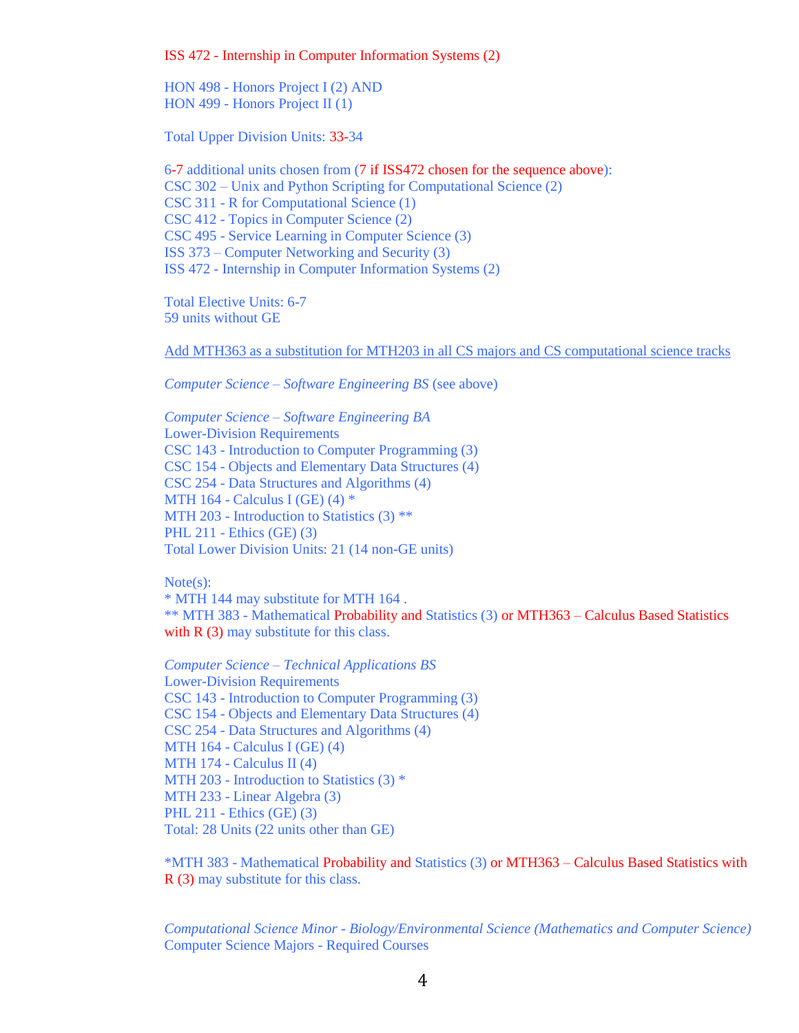ISS 472 - Internship in Computer Information Systems (2)

HON 498 - Honors Project I (2) AND HON 499 - Honors Project II (1)

Total Upper Division Units: 33-34

6-7 additional units chosen from (7 if ISS472 chosen for the sequence above): CSC 302 – Unix and Python Scripting for Computational Science (2) CSC 311 - R for Computational Science (1) CSC 412 - Topics in Computer Science (2) CSC 495 - Service Learning in Computer Science (3) ISS 373 – Computer Networking and Security (3) ISS 472 - Internship in Computer Information Systems (2)

Total Elective Units: 6-7 59 units without GE

Add MTH363 as a substitution for MTH203 in all CS majors and CS computational science tracks

*Computer Science – Software Engineering BS* (see above)

*Computer Science – Software Engineering BA* Lower-Division Requirements CSC 143 - Introduction to Computer Programming (3) CSC 154 - Objects and Elementary Data Structures (4) CSC 254 - Data Structures and Algorithms (4) MTH 164 - Calculus I (GE)  $(4)$  \* MTH 203 - Introduction to Statistics (3) \*\* PHL 211 - Ethics (GE) (3) Total Lower Division Units: 21 (14 non-GE units)

Note(s):

\* MTH 144 may substitute for MTH 164 . \*\* MTH 383 - Mathematical Probability and Statistics (3) or MTH363 – Calculus Based Statistics with  $R(3)$  may substitute for this class.

*Computer Science – Technical Applications BS* Lower-Division Requirements CSC 143 - Introduction to Computer Programming (3) CSC 154 - Objects and Elementary Data Structures (4) CSC 254 - Data Structures and Algorithms (4) MTH 164 - Calculus I (GE) (4) MTH  $174$  - Calculus II (4) MTH 203 - Introduction to Statistics (3) \* MTH 233 - Linear Algebra (3) PHL 211 - Ethics (GE) (3) Total: 28 Units (22 units other than GE)

\*MTH 383 - Mathematical Probability and Statistics (3) or MTH363 – Calculus Based Statistics with R (3) may substitute for this class.

*Computational Science Minor - Biology/Environmental Science (Mathematics and Computer Science)* Computer Science Majors - Required Courses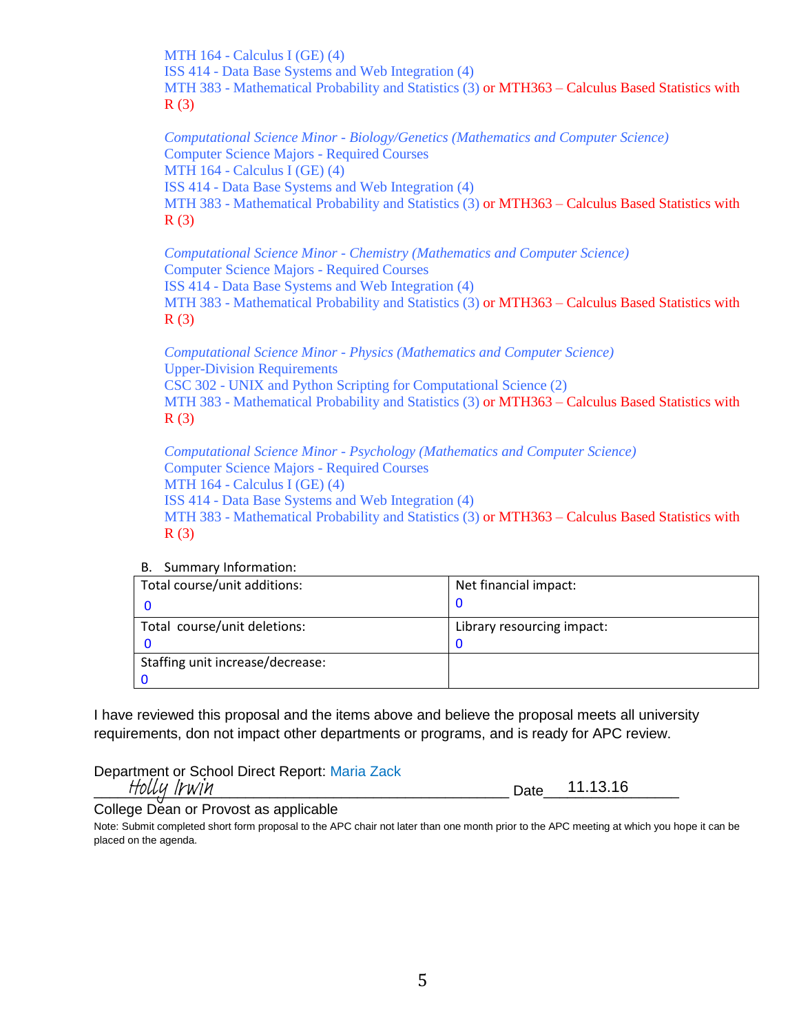MTH 164 - Calculus I (GE) (4) ISS 414 - Data Base Systems and Web Integration (4) MTH 383 - Mathematical Probability and Statistics (3) or MTH363 - Calculus Based Statistics with  $R(3)$ 

*Computational Science Minor - Biology/Genetics (Mathematics and Computer Science)* Computer Science Majors - Required Courses MTH 164 - Calculus I (GE) (4) ISS 414 - Data Base Systems and Web Integration (4) MTH 383 - Mathematical Probability and Statistics (3) or MTH363 - Calculus Based Statistics with  $R(3)$ 

*Computational Science Minor - Chemistry (Mathematics and Computer Science)* Computer Science Majors - Required Courses ISS 414 - Data Base Systems and Web Integration (4) MTH 383 - Mathematical Probability and Statistics (3) or MTH363 – Calculus Based Statistics with  $R(3)$ 

*Computational Science Minor - Physics (Mathematics and Computer Science)* Upper-Division Requirements CSC 302 - UNIX and Python Scripting for Computational Science (2) MTH 383 - Mathematical Probability and Statistics (3) or MTH363 – Calculus Based Statistics with  $R(3)$ 

*Computational Science Minor - Psychology (Mathematics and Computer Science)* Computer Science Majors - Required Courses MTH  $164$  - Calculus I (GE) (4) ISS 414 - Data Base Systems and Web Integration (4) MTH 383 - Mathematical Probability and Statistics (3) or MTH363 - Calculus Based Statistics with R (3)

B. Summary Information:

| Total course/unit additions:     | Net financial impact:      |
|----------------------------------|----------------------------|
|                                  |                            |
| Total course/unit deletions:     | Library resourcing impact: |
|                                  |                            |
| Staffing unit increase/decrease: |                            |
|                                  |                            |

I have reviewed this proposal and the items above and believe the proposal meets all university requirements, don not impact other departments or programs, and is ready for APC review.

Department or School Direct Report: Maria Zack \_\_\_\_\_\_\_\_\_\_\_\_\_\_\_\_\_\_\_\_\_\_\_\_\_\_\_\_\_\_\_\_\_\_\_\_\_\_\_\_\_\_\_\_\_\_\_\_\_\_\_\_ Date\_\_\_\_\_\_\_\_\_\_\_\_\_\_\_\_\_ Holly Irwin

11.13.16

College Dean or Provost as applicable

Note: Submit completed short form proposal to the APC chair not later than one month prior to the APC meeting at which you hope it can be placed on the agenda.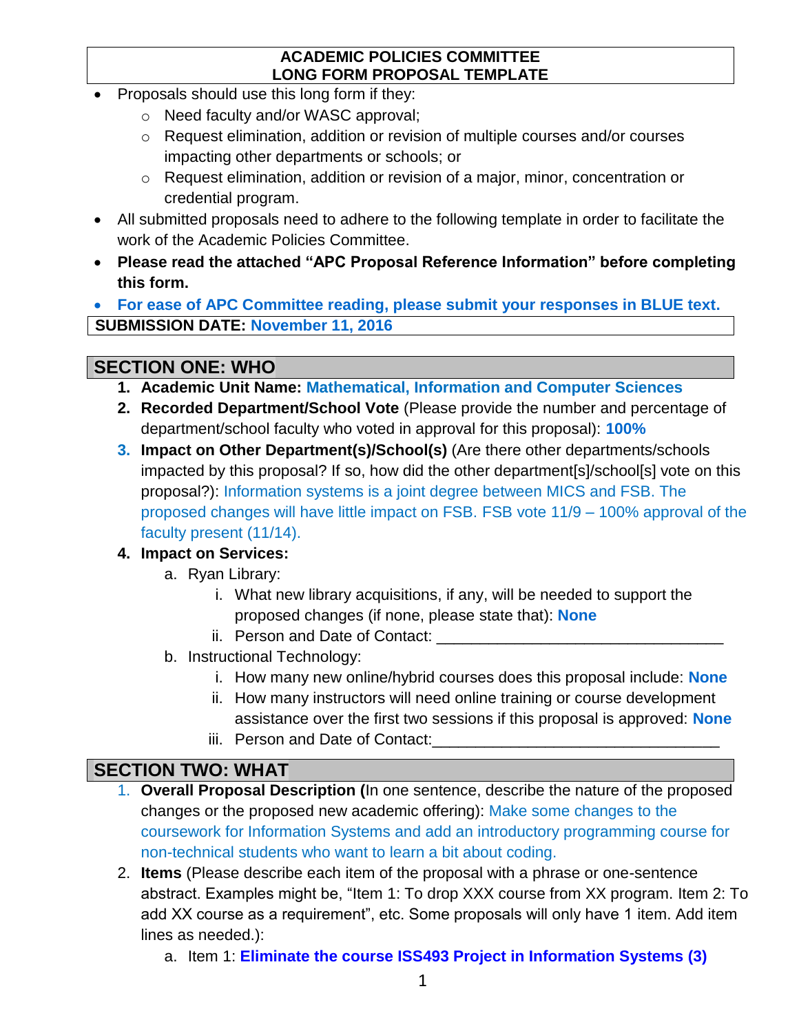### **ACADEMIC POLICIES COMMITTEE LONG FORM PROPOSAL TEMPLATE**

- Proposals should use this long form if they:
	- o Need faculty and/or WASC approval;
	- o Request elimination, addition or revision of multiple courses and/or courses impacting other departments or schools; or
	- o Request elimination, addition or revision of a major, minor, concentration or credential program.
- All submitted proposals need to adhere to the following template in order to facilitate the work of the Academic Policies Committee.
- **Please read the attached "APC Proposal Reference Information" before completing this form.**

 **For ease of APC Committee reading, please submit your responses in BLUE text. SUBMISSION DATE: November 11, 2016**

# **SECTION ONE: WHO**

- **1. Academic Unit Name: Mathematical, Information and Computer Sciences**
- **2. Recorded Department/School Vote** (Please provide the number and percentage of department/school faculty who voted in approval for this proposal): **100%**
- **3. Impact on Other Department(s)/School(s)** (Are there other departments/schools impacted by this proposal? If so, how did the other department[s]/school[s] vote on this proposal?): Information systems is a joint degree between MICS and FSB. The proposed changes will have little impact on FSB. FSB vote 11/9 – 100% approval of the faculty present (11/14).

## **4. Impact on Services:**

- a. Ryan Library:
	- i. What new library acquisitions, if any, will be needed to support the proposed changes (if none, please state that): **None**
	- ii. Person and Date of Contact:
- b. Instructional Technology:
	- i. How many new online/hybrid courses does this proposal include: **None**
	- ii. How many instructors will need online training or course development assistance over the first two sessions if this proposal is approved: **None**
	- iii. Person and Date of Contact:

# **SECTION TWO: WHAT**

- 1. **Overall Proposal Description (**In one sentence, describe the nature of the proposed changes or the proposed new academic offering): Make some changes to the coursework for Information Systems and add an introductory programming course for non-technical students who want to learn a bit about coding.
- 2. **Items** (Please describe each item of the proposal with a phrase or one-sentence abstract. Examples might be, "Item 1: To drop XXX course from XX program. Item 2: To add XX course as a requirement", etc. Some proposals will only have 1 item. Add item lines as needed.):
	- a. Item 1: **Eliminate the course ISS493 Project in Information Systems (3)**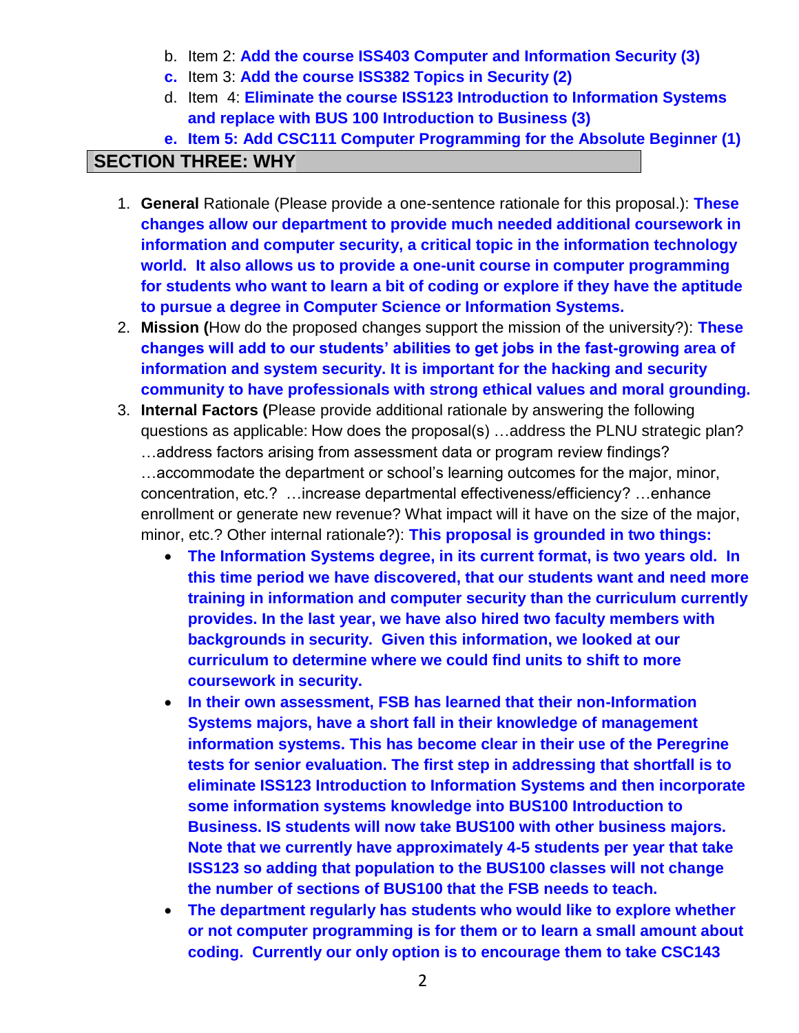- b. Item 2: **Add the course ISS403 Computer and Information Security (3)**
- **c.** Item 3: **Add the course ISS382 Topics in Security (2)**
- d. Item 4: **Eliminate the course ISS123 Introduction to Information Systems and replace with BUS 100 Introduction to Business (3)**
- **e. Item 5: Add CSC111 Computer Programming for the Absolute Beginner (1)**

## **SECTION THREE: WHY**

- 1. **General** Rationale (Please provide a one-sentence rationale for this proposal.): **These changes allow our department to provide much needed additional coursework in information and computer security, a critical topic in the information technology world. It also allows us to provide a one-unit course in computer programming for students who want to learn a bit of coding or explore if they have the aptitude to pursue a degree in Computer Science or Information Systems.**
- 2. **Mission (**How do the proposed changes support the mission of the university?): **These changes will add to our students' abilities to get jobs in the fast-growing area of information and system security. It is important for the hacking and security community to have professionals with strong ethical values and moral grounding.**
- 3. **Internal Factors (**Please provide additional rationale by answering the following questions as applicable: How does the proposal(s) …address the PLNU strategic plan? …address factors arising from assessment data or program review findings? …accommodate the department or school's learning outcomes for the major, minor, concentration, etc.? …increase departmental effectiveness/efficiency? …enhance enrollment or generate new revenue? What impact will it have on the size of the major, minor, etc.? Other internal rationale?): **This proposal is grounded in two things:**
	- **The Information Systems degree, in its current format, is two years old. In this time period we have discovered, that our students want and need more training in information and computer security than the curriculum currently provides. In the last year, we have also hired two faculty members with backgrounds in security. Given this information, we looked at our curriculum to determine where we could find units to shift to more coursework in security.**
	- **In their own assessment, FSB has learned that their non-Information Systems majors, have a short fall in their knowledge of management information systems. This has become clear in their use of the Peregrine tests for senior evaluation. The first step in addressing that shortfall is to eliminate ISS123 Introduction to Information Systems and then incorporate some information systems knowledge into BUS100 Introduction to Business. IS students will now take BUS100 with other business majors. Note that we currently have approximately 4-5 students per year that take ISS123 so adding that population to the BUS100 classes will not change the number of sections of BUS100 that the FSB needs to teach.**
	- **The department regularly has students who would like to explore whether or not computer programming is for them or to learn a small amount about coding. Currently our only option is to encourage them to take CSC143**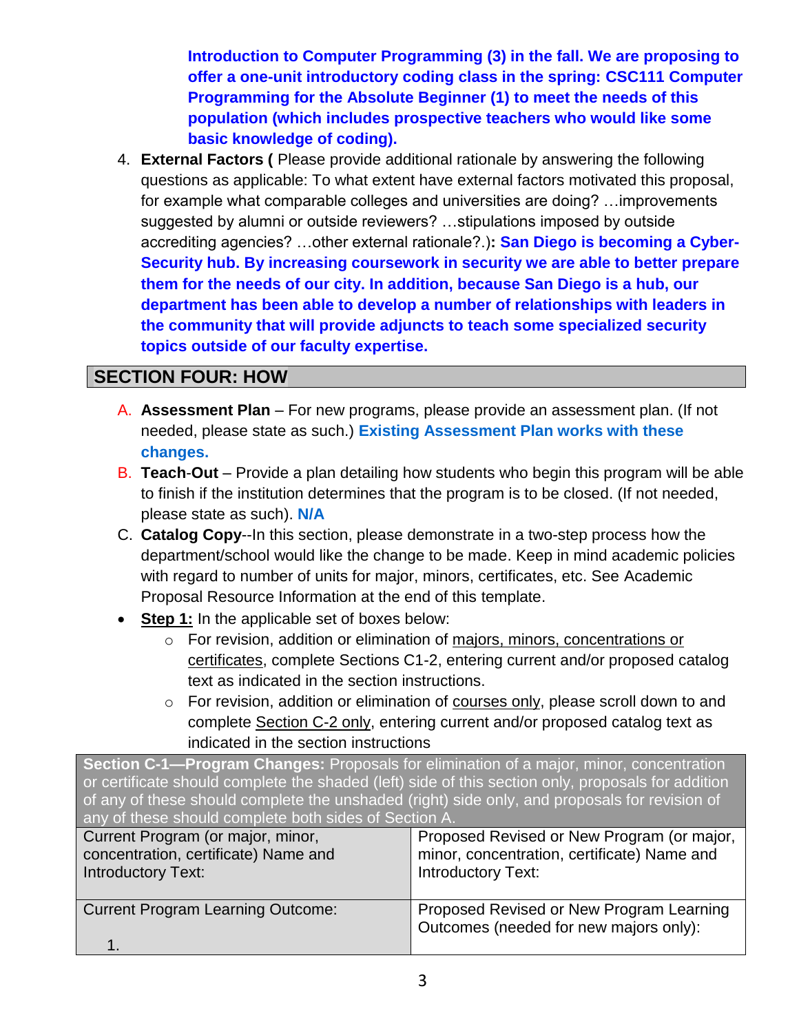**Introduction to Computer Programming (3) in the fall. We are proposing to offer a one-unit introductory coding class in the spring: CSC111 Computer Programming for the Absolute Beginner (1) to meet the needs of this population (which includes prospective teachers who would like some basic knowledge of coding).**

4. **External Factors (** Please provide additional rationale by answering the following questions as applicable: To what extent have external factors motivated this proposal, for example what comparable colleges and universities are doing? …improvements suggested by alumni or outside reviewers? …stipulations imposed by outside accrediting agencies? …other external rationale?.)**: San Diego is becoming a Cyber-Security hub. By increasing coursework in security we are able to better prepare them for the needs of our city. In addition, because San Diego is a hub, our department has been able to develop a number of relationships with leaders in the community that will provide adjuncts to teach some specialized security topics outside of our faculty expertise.**

## **SECTION FOUR: HOW**

- A. **Assessment Plan** For new programs, please provide an assessment plan. (If not needed, please state as such.) **Existing Assessment Plan works with these changes.**
- B. **Teach**-**Out**  Provide a plan detailing how students who begin this program will be able to finish if the institution determines that the program is to be closed. (If not needed, please state as such). **N/A**
- C. **Catalog Copy**--In this section, please demonstrate in a two-step process how the department/school would like the change to be made. Keep in mind academic policies with regard to number of units for major, minors, certificates, etc. See Academic Proposal Resource Information at the end of this template.
- **Step 1:** In the applicable set of boxes below:
	- o For revision, addition or elimination of majors, minors, concentrations or certificates, complete Sections C1-2, entering current and/or proposed catalog text as indicated in the section instructions.
	- o For revision, addition or elimination of courses only, please scroll down to and complete Section C-2 only, entering current and/or proposed catalog text as indicated in the section instructions

**Section C-1—Program Changes:** Proposals for elimination of a major, minor, concentration or certificate should complete the shaded (left) side of this section only, proposals for addition of any of these should complete the unshaded (right) side only, and proposals for revision of any of these should complete both sides of Section A.

| Current Program (or major, minor,        | Proposed Revised or New Program (or major,                                         |
|------------------------------------------|------------------------------------------------------------------------------------|
| concentration, certificate) Name and     | minor, concentration, certificate) Name and                                        |
| <b>Introductory Text:</b>                | <b>Introductory Text:</b>                                                          |
| <b>Current Program Learning Outcome:</b> | Proposed Revised or New Program Learning<br>Outcomes (needed for new majors only): |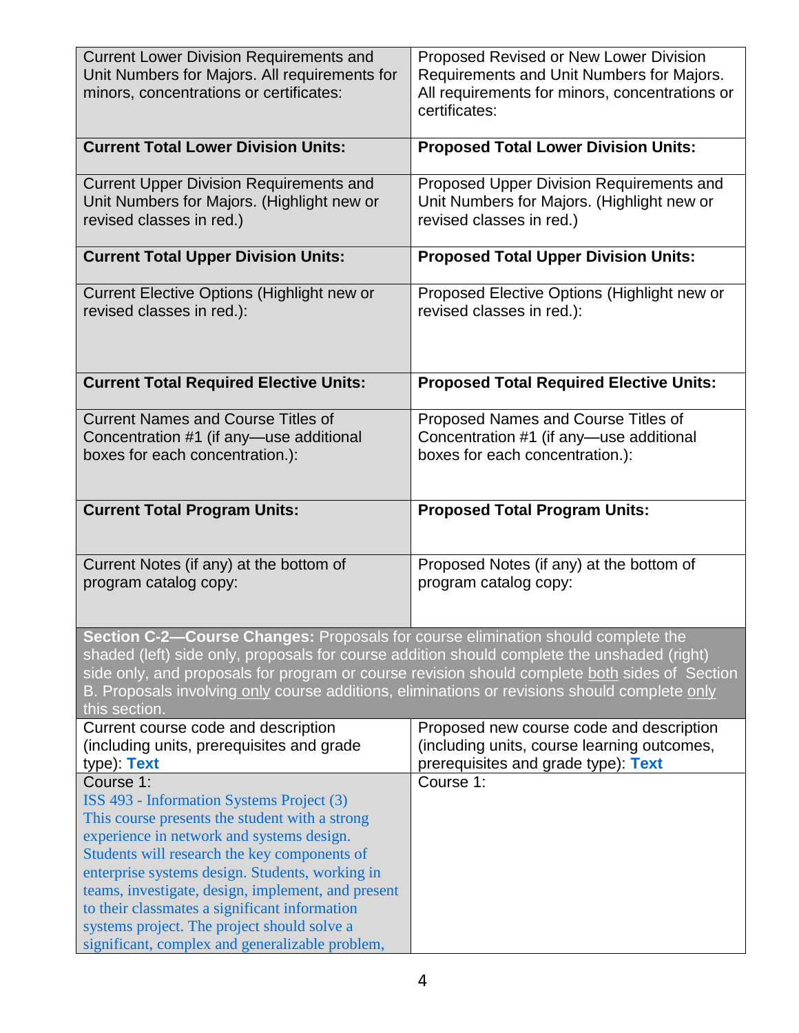| <b>Current Lower Division Requirements and</b><br>Unit Numbers for Majors. All requirements for<br>minors, concentrations or certificates:                                                                                                                                      | Proposed Revised or New Lower Division<br>Requirements and Unit Numbers for Majors.<br>All requirements for minors, concentrations or<br>certificates: |
|---------------------------------------------------------------------------------------------------------------------------------------------------------------------------------------------------------------------------------------------------------------------------------|--------------------------------------------------------------------------------------------------------------------------------------------------------|
| <b>Current Total Lower Division Units:</b>                                                                                                                                                                                                                                      | <b>Proposed Total Lower Division Units:</b>                                                                                                            |
| <b>Current Upper Division Requirements and</b><br>Unit Numbers for Majors. (Highlight new or<br>revised classes in red.)                                                                                                                                                        | Proposed Upper Division Requirements and<br>Unit Numbers for Majors. (Highlight new or<br>revised classes in red.)                                     |
| <b>Current Total Upper Division Units:</b>                                                                                                                                                                                                                                      | <b>Proposed Total Upper Division Units:</b>                                                                                                            |
| Current Elective Options (Highlight new or<br>revised classes in red.):                                                                                                                                                                                                         | Proposed Elective Options (Highlight new or<br>revised classes in red.):                                                                               |
| <b>Current Total Required Elective Units:</b>                                                                                                                                                                                                                                   | <b>Proposed Total Required Elective Units:</b>                                                                                                         |
| <b>Current Names and Course Titles of</b><br>Concentration #1 (if any—use additional<br>boxes for each concentration.):                                                                                                                                                         | Proposed Names and Course Titles of<br>Concentration #1 (if any—use additional<br>boxes for each concentration.):                                      |
| <b>Current Total Program Units:</b>                                                                                                                                                                                                                                             | <b>Proposed Total Program Units:</b>                                                                                                                   |
| Current Notes (if any) at the bottom of<br>program catalog copy:                                                                                                                                                                                                                | Proposed Notes (if any) at the bottom of<br>program catalog copy:                                                                                      |
|                                                                                                                                                                                                                                                                                 |                                                                                                                                                        |
| Section C-2-Course Changes: Proposals for course elimination should complete the<br>shaded (left) side only, proposals for course addition should complete the unshaded (right)<br>B. Proposals involving only course additions, eliminations or revisions should complete only | side only, and proposals for program or course revision should complete both sides of Section                                                          |
| this section.<br>Current course code and description<br>(including units, prerequisites and grade<br>type): Text                                                                                                                                                                | Proposed new course code and description<br>(including units, course learning outcomes,<br>prerequisites and grade type): Text                         |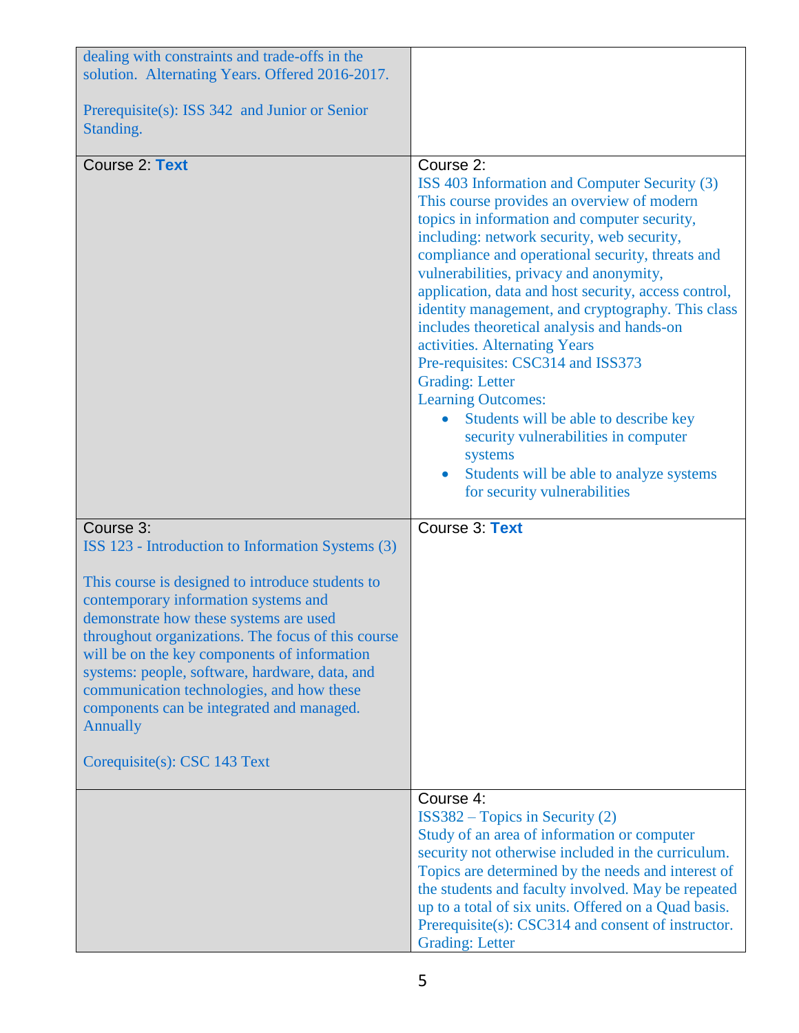| dealing with constraints and trade-offs in the<br>solution. Alternating Years. Offered 2016-2017.                                                                                                                                                                                                                                                                                                                                                                                                         |                                                                                                                                                                                                                                                                                                                                                                                                                                                                                                                                                                                                                                                                                                                                                                       |
|-----------------------------------------------------------------------------------------------------------------------------------------------------------------------------------------------------------------------------------------------------------------------------------------------------------------------------------------------------------------------------------------------------------------------------------------------------------------------------------------------------------|-----------------------------------------------------------------------------------------------------------------------------------------------------------------------------------------------------------------------------------------------------------------------------------------------------------------------------------------------------------------------------------------------------------------------------------------------------------------------------------------------------------------------------------------------------------------------------------------------------------------------------------------------------------------------------------------------------------------------------------------------------------------------|
| Prerequisite(s): ISS 342 and Junior or Senior<br>Standing.                                                                                                                                                                                                                                                                                                                                                                                                                                                |                                                                                                                                                                                                                                                                                                                                                                                                                                                                                                                                                                                                                                                                                                                                                                       |
| Course 2: Text                                                                                                                                                                                                                                                                                                                                                                                                                                                                                            | Course 2:<br>ISS 403 Information and Computer Security (3)<br>This course provides an overview of modern<br>topics in information and computer security,<br>including: network security, web security,<br>compliance and operational security, threats and<br>vulnerabilities, privacy and anonymity,<br>application, data and host security, access control,<br>identity management, and cryptography. This class<br>includes theoretical analysis and hands-on<br>activities. Alternating Years<br>Pre-requisites: CSC314 and ISS373<br><b>Grading: Letter</b><br><b>Learning Outcomes:</b><br>Students will be able to describe key<br>security vulnerabilities in computer<br>systems<br>Students will be able to analyze systems<br>for security vulnerabilities |
| Course 3:<br>ISS 123 - Introduction to Information Systems (3)<br>This course is designed to introduce students to<br>contemporary information systems and<br>demonstrate how these systems are used<br>throughout organizations. The focus of this course<br>will be on the key components of information<br>systems: people, software, hardware, data, and<br>communication technologies, and how these<br>components can be integrated and managed.<br><b>Annually</b><br>Corequisite(s): CSC 143 Text | Course 3: Text                                                                                                                                                                                                                                                                                                                                                                                                                                                                                                                                                                                                                                                                                                                                                        |
|                                                                                                                                                                                                                                                                                                                                                                                                                                                                                                           | Course 4:<br>$ISS382 - Topics in Security (2)$<br>Study of an area of information or computer<br>security not otherwise included in the curriculum.<br>Topics are determined by the needs and interest of<br>the students and faculty involved. May be repeated<br>up to a total of six units. Offered on a Quad basis.<br>Prerequisite(s): CSC314 and consent of instructor.<br><b>Grading: Letter</b>                                                                                                                                                                                                                                                                                                                                                               |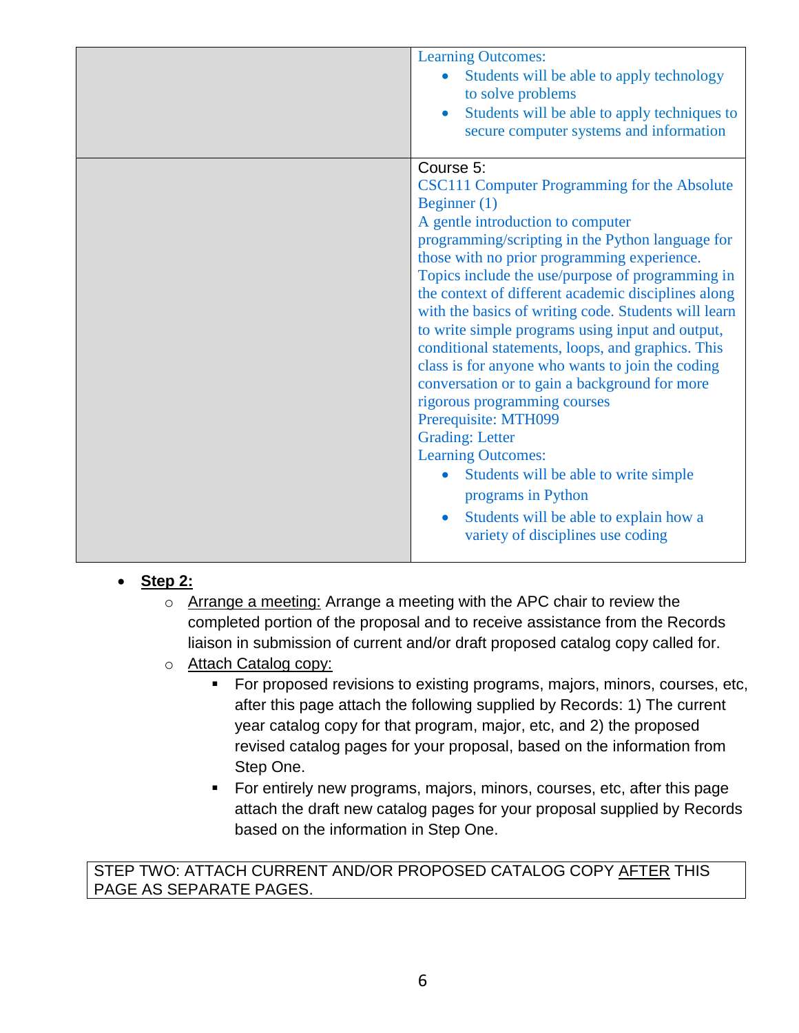| <b>Learning Outcomes:</b><br>Students will be able to apply technology<br>to solve problems<br>Students will be able to apply techniques to<br>secure computer systems and information                                                                                                                                                                                                                                                                                                                                                                                                                                                                                                                                                                                                                                                                            |
|-------------------------------------------------------------------------------------------------------------------------------------------------------------------------------------------------------------------------------------------------------------------------------------------------------------------------------------------------------------------------------------------------------------------------------------------------------------------------------------------------------------------------------------------------------------------------------------------------------------------------------------------------------------------------------------------------------------------------------------------------------------------------------------------------------------------------------------------------------------------|
| Course 5:<br>CSC111 Computer Programming for the Absolute<br>Beginner $(1)$<br>A gentle introduction to computer<br>programming/scripting in the Python language for<br>those with no prior programming experience.<br>Topics include the use/purpose of programming in<br>the context of different academic disciplines along<br>with the basics of writing code. Students will learn<br>to write simple programs using input and output,<br>conditional statements, loops, and graphics. This<br>class is for anyone who wants to join the coding<br>conversation or to gain a background for more<br>rigorous programming courses<br>Prerequisite: MTH099<br><b>Grading: Letter</b><br><b>Learning Outcomes:</b><br>Students will be able to write simple<br>programs in Python<br>Students will be able to explain how a<br>variety of disciplines use coding |

## **Step 2:**

- o Arrange a meeting: Arrange a meeting with the APC chair to review the completed portion of the proposal and to receive assistance from the Records liaison in submission of current and/or draft proposed catalog copy called for.
- o Attach Catalog copy:
	- For proposed revisions to existing programs, majors, minors, courses, etc, after this page attach the following supplied by Records: 1) The current year catalog copy for that program, major, etc, and 2) the proposed revised catalog pages for your proposal, based on the information from Step One.
	- For entirely new programs, majors, minors, courses, etc, after this page attach the draft new catalog pages for your proposal supplied by Records based on the information in Step One.

#### STEP TWO: ATTACH CURRENT AND/OR PROPOSED CATALOG COPY AFTER THIS PAGE AS SEPARATE PAGES.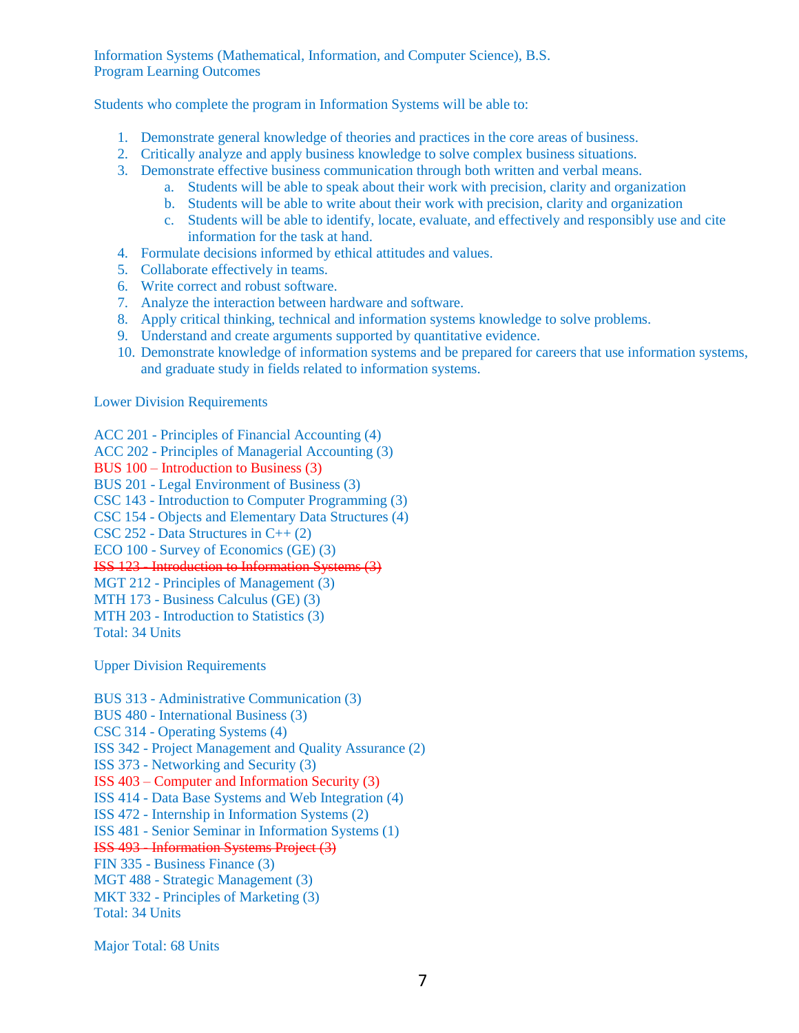Information Systems (Mathematical, Information, and Computer Science), B.S. Program Learning Outcomes

Students who complete the program in Information Systems will be able to:

- 1. Demonstrate general knowledge of theories and practices in the core areas of business.
- 2. Critically analyze and apply business knowledge to solve complex business situations.
- 3. Demonstrate effective business communication through both written and verbal means.
	- a. Students will be able to speak about their work with precision, clarity and organization
	- b. Students will be able to write about their work with precision, clarity and organization
	- c. Students will be able to identify, locate, evaluate, and effectively and responsibly use and cite information for the task at hand.
- 4. Formulate decisions informed by ethical attitudes and values.
- 5. Collaborate effectively in teams.
- 6. Write correct and robust software.
- 7. Analyze the interaction between hardware and software.
- 8. Apply critical thinking, technical and information systems knowledge to solve problems.
- 9. Understand and create arguments supported by quantitative evidence.
- 10. Demonstrate knowledge of information systems and be prepared for careers that use information systems, and graduate study in fields related to information systems.

Lower Division Requirements

- ACC 201 Principles of Financial Accounting (4)
- ACC 202 Principles of Managerial Accounting (3)
- BUS 100 Introduction to Business (3)
- BUS 201 Legal Environment of Business (3)
- CSC 143 Introduction to Computer Programming (3)
- CSC 154 Objects and Elementary Data Structures (4)
- CSC 252 Data Structures in C++ (2)
- ECO 100 Survey of Economics (GE) (3)

ISS 123 - Introduction to Information Systems (3)

- MGT 212 Principles of Management (3)
- MTH 173 Business Calculus (GE) (3)
- MTH 203 Introduction to Statistics (3)
- Total: 34 Units

Upper Division Requirements

BUS 313 - Administrative Communication (3) BUS 480 - International Business (3) CSC 314 - Operating Systems (4) ISS 342 - Project Management and Quality Assurance (2) ISS 373 - Networking and Security (3) ISS 403 – Computer and Information Security (3) ISS 414 - Data Base Systems and Web Integration (4) ISS 472 - Internship in Information Systems (2) ISS 481 - Senior Seminar in Information Systems (1) ISS 493 - Information Systems Project (3) FIN 335 - Business Finance (3) MGT 488 - Strategic Management (3) MKT 332 - Principles of Marketing (3) Total: 34 Units

Major Total: 68 Units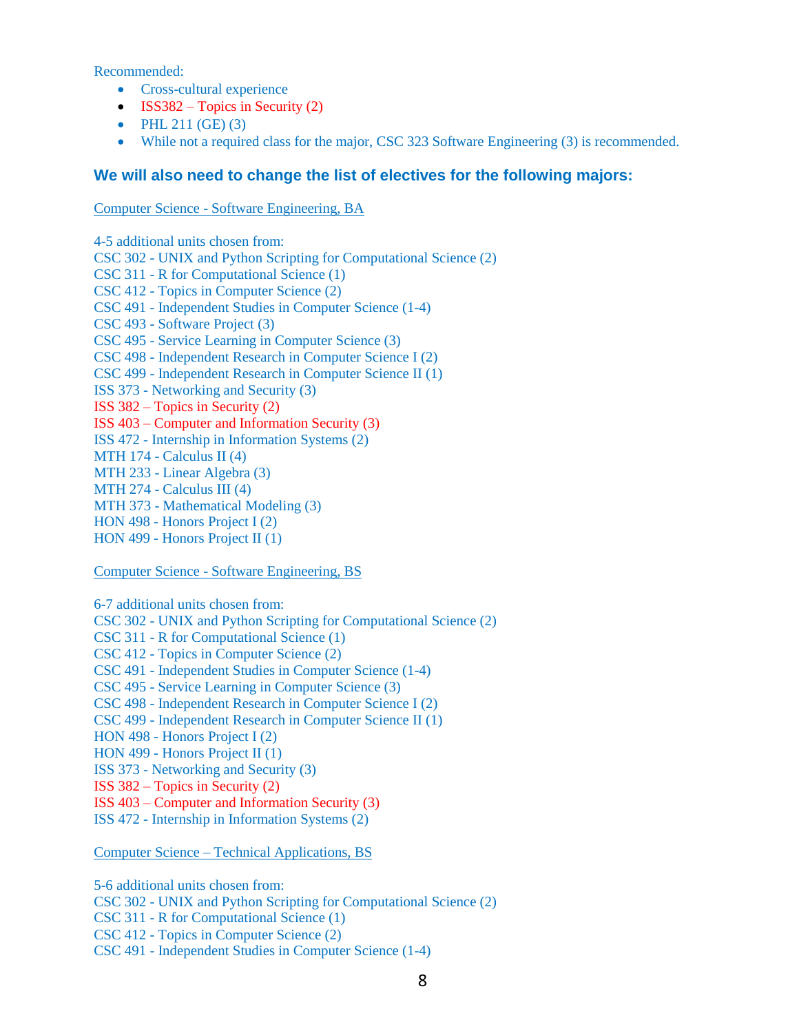Recommended:

- Cross-cultural experience
- ISS382 Topics in Security  $(2)$
- PHL  $211$  (GE) (3)
- While not a required class for the major, CSC 323 Software Engineering (3) is recommended.

#### **We will also need to change the list of electives for the following majors:**

#### Computer Science - Software Engineering, BA

4-5 additional units chosen from: CSC 302 - UNIX and Python Scripting for Computational Science (2) CSC 311 - R for Computational Science (1) CSC 412 - Topics in Computer Science (2) CSC 491 - Independent Studies in Computer Science (1-4) CSC 493 - Software Project (3) CSC 495 - Service Learning in Computer Science (3) CSC 498 - Independent Research in Computer Science I (2) CSC 499 - Independent Research in Computer Science II (1) ISS 373 - Networking and Security (3) ISS 382 – Topics in Security (2) ISS 403 – Computer and Information Security (3) ISS 472 - Internship in Information Systems (2) MTH 174 - Calculus II  $(4)$ MTH 233 - Linear Algebra (3) MTH 274 - Calculus III (4) MTH 373 - Mathematical Modeling (3) HON 498 - Honors Project I (2) HON 499 - Honors Project II (1)

#### Computer Science - Software Engineering, BS

6-7 additional units chosen from: CSC 302 - UNIX and Python Scripting for Computational Science (2) CSC 311 - R for Computational Science (1) CSC 412 - Topics in Computer Science (2) CSC 491 - Independent Studies in Computer Science (1-4) CSC 495 - Service Learning in Computer Science (3) CSC 498 - Independent Research in Computer Science I (2) CSC 499 - Independent Research in Computer Science II (1) HON 498 - Honors Project I (2) HON 499 - Honors Project II (1) ISS 373 - Networking and Security (3) ISS 382 – Topics in Security (2) ISS 403 – Computer and Information Security (3) ISS 472 - Internship in Information Systems (2)

Computer Science – Technical Applications, BS

5-6 additional units chosen from: CSC 302 - UNIX and Python Scripting for Computational Science (2) CSC 311 - R for Computational Science (1) CSC 412 - Topics in Computer Science (2) CSC 491 - Independent Studies in Computer Science (1-4)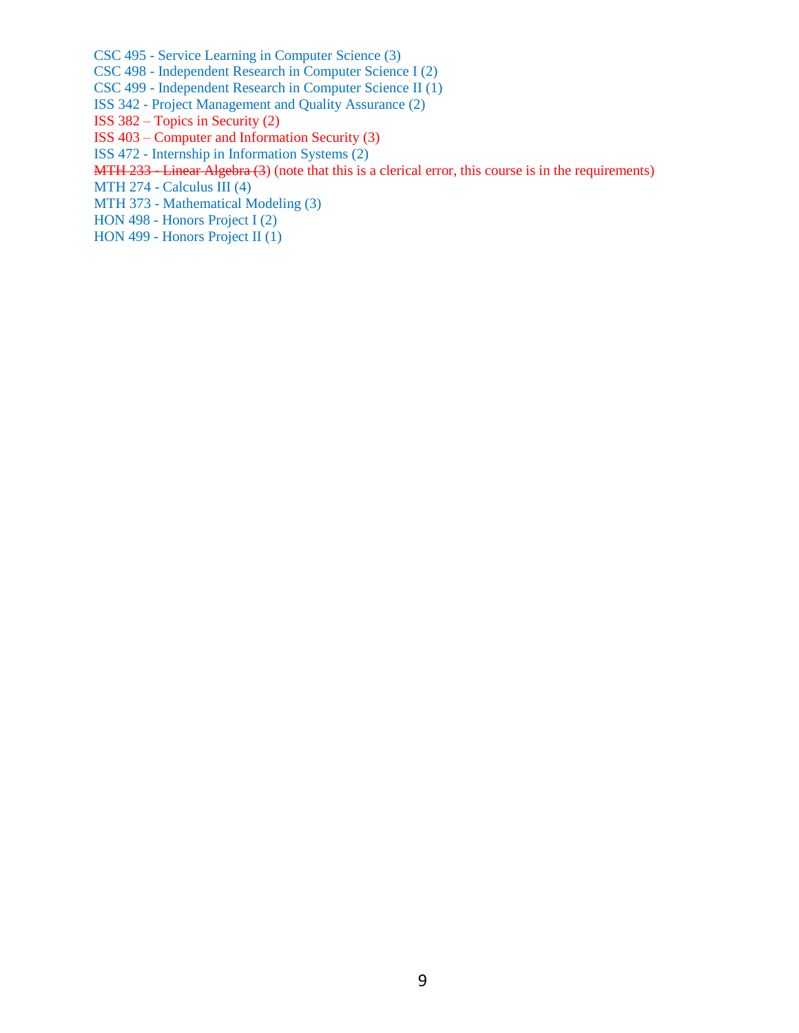CSC 495 - Service Learning in Computer Science (3)

CSC 498 - Independent Research in Computer Science I (2)

CSC 499 - Independent Research in Computer Science II (1)

- ISS 342 Project Management and Quality Assurance (2)
- ISS 382 Topics in Security (2)
- ISS 403 Computer and Information Security (3)
- ISS 472 Internship in Information Systems (2)
- MTH 233 Linear Algebra (3) (note that this is a clerical error, this course is in the requirements)
- MTH 274 Calculus III (4)
- MTH 373 Mathematical Modeling (3)
- HON 498 Honors Project I (2)
- HON 499 Honors Project II (1)